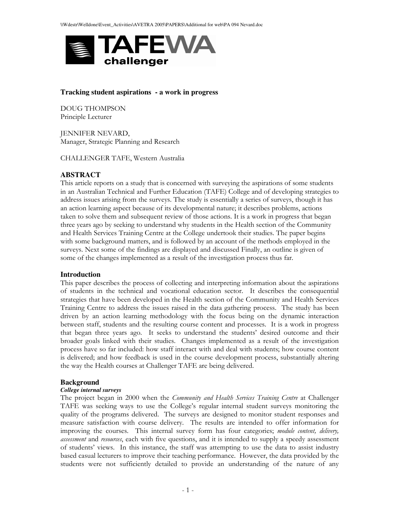

## Tracking student aspirations - a work in progress

**DOUG THOMPSON** Principle Lecturer

**JENNIFER NEVARD,** Manager, Strategic Planning and Research

CHALLENGER TAFE, Western Australia

## **ABSTRACT**

This article reports on a study that is concerned with surveying the aspirations of some students in an Australian Technical and Further Education (TAFE) College and of developing strategies to address issues arising from the surveys. The study is essentially a series of surveys, though it has an action learning aspect because of its developmental nature; it describes problems, actions taken to solve them and subsequent review of those actions. It is a work in progress that began three years ago by seeking to understand why students in the Health section of the Community and Health Services Training Centre at the College undertook their studies. The paper begins with some background matters, and is followed by an account of the methods employed in the surveys. Next some of the findings are displayed and discussed Finally, an outline is given of some of the changes implemented as a result of the investigation process thus far.

## **Introduction**

This paper describes the process of collecting and interpreting information about the aspirations of students in the technical and vocational education sector. It describes the consequential strategies that have been developed in the Health section of the Community and Health Services Training Centre to address the issues raised in the data gathering process. The study has been driven by an action learning methodology with the focus being on the dynamic interaction between staff, students and the resulting course content and processes. It is a work in progress that began three years ago. It seeks to understand the students' desired outcome and their broader goals linked with their studies. Changes implemented as a result of the investigation process have so far included: how staff interact with and deal with students; how course content is delivered; and how feedback is used in the course development process, substantially altering the way the Health courses at Challenger TAFE are being delivered.

## **Background**

## College internal surveys

The project began in 2000 when the Community and Health Services Training Centre at Challenger TAFE was seeking ways to use the College's regular internal student surveys monitoring the quality of the programs delivered. The surveys are designed to monitor student responses and measure satisfaction with course delivery. The results are intended to offer information for improving the courses. This internal survey form has four categories; module content, delivery, *assessment* and *resources*, each with five questions, and it is intended to supply a speedy assessment of students' views. In this instance, the staff was attempting to use the data to assist industry based casual lecturers to improve their teaching performance. However, the data provided by the students were not sufficiently detailed to provide an understanding of the nature of any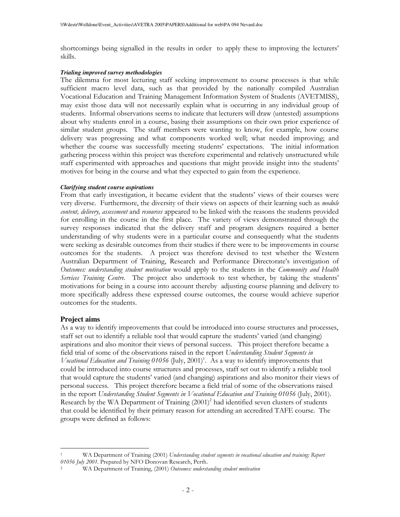shortcomings being signalled in the results in order to apply these to improving the lecturers' skills.

#### Trialing improved survey methodologies

The dilemma for most lecturing staff seeking improvement to course processes is that while sufficient macro level data, such as that provided by the nationally compiled Australian Vocational Education and Training Management Information System of Students (AVETMISS), may exist those data will not necessarily explain what is occurring in any individual group of students. Informal observations seems to indicate that lecturers will draw (untested) assumptions about why students enrol in a course, basing their assumptions on their own prior experience of similar student groups. The staff members were wanting to know, for example, how course delivery was progressing and what components worked well; what needed improving; and whether the course was successfully meeting students' expectations. The initial information gathering process within this project was therefore experimental and relatively unstructured while staff experimented with approaches and questions that might provide insight into the students' motives for being in the course and what they expected to gain from the experience.

### **Clarifying student course aspirations**

From that early investigation, it became evident that the students' views of their courses were very diverse. Furthermore, the diversity of their views on aspects of their learning such as *module* content, delivery, assessment and resources appeared to be linked with the reasons the students provided for enrolling in the course in the first place. The variety of views demonstrated through the survey responses indicated that the delivery staff and program designers required a better understanding of why students were in a particular course and consequently what the students were seeking as desirable outcomes from their studies if there were to be improvements in course outcomes for the students. A project was therefore devised to test whether the Western Australian Department of Training, Research and Performance Directorate's investigation of Outcomes: understanding student motivation would apply to the students in the Community and Health Services Training Centre. The project also undertook to test whether, by taking the students' motivations for being in a course into account thereby adjusting course planning and delivery to more specifically address these expressed course outcomes, the course would achieve superior outcomes for the students.

### **Project aims**

As a way to identify improvements that could be introduced into course structures and processes, staff set out to identify a reliable tool that would capture the students' varied (and changing) aspirations and also monitor their views of personal success. This project therefore became a field trial of some of the observations raised in the report Understanding Student Segments in Vocational Education and Training 01056 (July, 2001)<sup>1</sup>. As a way to identify improvements that could be introduced into course structures and processes, staff set out to identify a reliable tool that would capture the students' varied (and changing) aspirations and also monitor their views of personal success. This project therefore became a field trial of some of the observations raised in the report Understanding Student Segments in Vocational Education and Training 01056 (July, 2001). Research by the WA Department of Training (2001)<sup>2</sup> had identified seven clusters of students that could be identified by their primary reason for attending an accredited TAFE course. The groups were defined as follows:

WA Department of Training (2001) Understanding student segments in vocational education and training: Report 01056 July 2001. Prepared by NFO Donovan Research, Perth.

WA Department of Training, (2001) Outcomes: understanding student motivation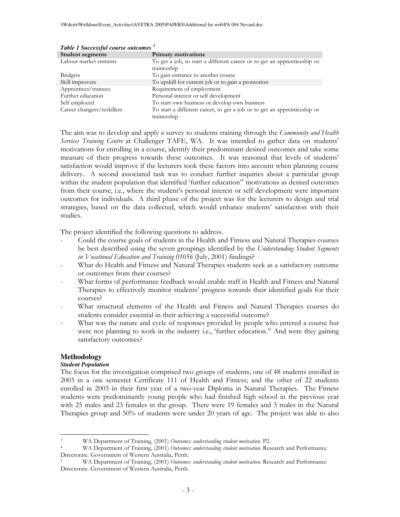| Table 1 Successful course outcomes <sup>3</sup> |                                                                                         |
|-------------------------------------------------|-----------------------------------------------------------------------------------------|
| <b>Student segments</b>                         | Primary motivations                                                                     |
| Labour market entrants                          | To get a job, to start a different career or to get an apprenticeship or<br>traineeship |
| <b>Bridgers</b>                                 | To gain entrance to another course                                                      |
| Skill improvers                                 | To upskill for current job or to gain a promotion                                       |
| Apprentices/trainees                            | Requirement of employment                                                               |
| Further education                               | Personal interest or self development                                                   |
| Self employed                                   | To start own business or develop own business                                           |
| Career changers/reskillers                      | To start a different career, to get a job or to get an apprenticeship or<br>traineeship |

The aim was to develop and apply a survey to students training through the *Community and Health* Services Training Centre at Challenger TAFE, WA. It was intended to gather data on students' motivations for enrolling in a course, identify their predominant desired outcomes and take some measure of their progress towards these outcomes. It was reasoned that levels of students' satisfaction would improve if the lecturers took these factors into account when planning course delivery. A second associated task was to conduct further inquiries about a particular group within the student population that identified 'further education'<sup>4</sup> motivations as desired outcomes from their course, i.e., where the student's personal interest or self development were important outcomes for individuals. A third phase of the project was for the lecturers to design and trial strategies, based on the data collected, which would enhance students' satisfaction with their studies.

The project identified the following questions to address.

- Could the course goals of students in the Health and Fitness and Natural Therapies courses be best described using the seven groupings identified by the Understanding Student Segments in Vocational Education and Training 01056 (July, 2001) findings?
- What do Health and Fitness and Natural Therapies students seek as a satisfactory outcome or outcomes from their courses?
- What forms of performance feedback would enable staff in Health and Fitness and Natural Therapies to effectively monitor students' progress towards their identified goals for their courses?
- What structural elements of the Health and Fitness and Natural Therapies courses do students consider essential in their achieving a successful outcome?
- What was the nature and cycle of responses provided by people who entered a course but were not planning to work in the industry i.e., 'further education.'<sup>5</sup> And were they gaining satisfactory outcomes?

### **Methodology**

#### **Student Population**

The focus for the investigation comprised two groups of students; one of 48 students enrolled in 2003 in a one semester Certificate 111 of Health and Fitness; and the other of 22 students enrolled in 2003 in their first year of a two-year Diploma in Natural Therapies. The Fitness students were predominantly young people who had finished high school in the previous year with 25 males and 23 females in the group. There were 19 females and 3 males in the Natural Therapies group and 50% of students were under 20 years of age. The project was able to also

WA Department of Training, (2001) Outcomes: understanding student motivation. P2.

 $\overline{4}$ WA Department of Training, (2001) Outcomes: understanding student motivation. Research and Performance Directorate. Government of Western Australia, Perth.

WA Department of Training, (2001) Outcomes: understanding student motivation. Research and Performance Directorate. Government of Western Australia, Perth.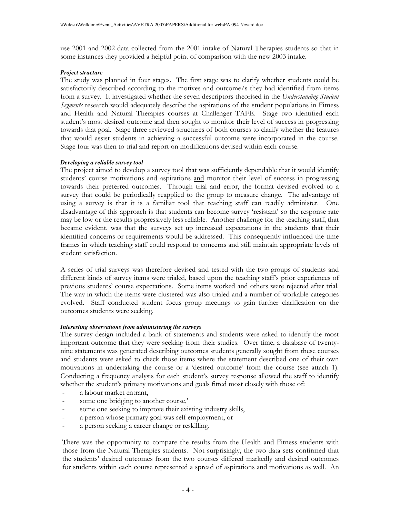use 2001 and 2002 data collected from the 2001 intake of Natural Therapies students so that in some instances they provided a helpful point of comparison with the new 2003 intake.

### **Project structure**

The study was planned in four stages. The first stage was to clarify whether students could be satisfactorily described according to the motives and outcome/s they had identified from items from a survey. It investigated whether the seven descriptors theorised in the Understanding Student *Segments* research would adequately describe the aspirations of the student populations in Fitness and Health and Natural Therapies courses at Challenger TAFE. Stage two identified each student's most desired outcome and then sought to monitor their level of success in progressing towards that goal. Stage three reviewed structures of both courses to clarify whether the features that would assist students in achieving a successful outcome were incorporated in the course. Stage four was then to trial and report on modifications devised within each course.

### Developing a reliable survey tool

The project aimed to develop a survey tool that was sufficiently dependable that it would identify students' course motivations and aspirations and monitor their level of success in progressing towards their preferred outcomes. Through trial and error, the format devised evolved to a survey that could be periodically reapplied to the group to measure change. The advantage of using a survey is that it is a familiar tool that teaching staff can readily administer. One disadvantage of this approach is that students can become survey 'resistant' so the response rate may be low or the results progressively less reliable. Another challenge for the teaching staff, that became evident, was that the surveys set up increased expectations in the students that their identified concerns or requirements would be addressed. This consequently influenced the time frames in which teaching staff could respond to concerns and still maintain appropriate levels of student satisfaction.

A series of trial surveys was therefore devised and tested with the two groups of students and different kinds of survey items were trialed, based upon the teaching staff's prior experiences of previous students' course expectations. Some items worked and others were rejected after trial. The way in which the items were clustered was also trialed and a number of workable categories evolved. Staff conducted student focus group meetings to gain further clarification on the outcomes students were seeking.

### Interesting observations from administering the surveys

The survey design included a bank of statements and students were asked to identify the most important outcome that they were seeking from their studies. Over time, a database of twentynine statements was generated describing outcomes students generally sought from these courses and students were asked to check those items where the statement described one of their own motivations in undertaking the course or a 'desired outcome' from the course (see attach 1). Conducting a frequency analysis for each student's survey response allowed the staff to identify whether the student's primary motivations and goals fitted most closely with those of:

- a labour market entrant,
- some one bridging to another course,'
- some one seeking to improve their existing industry skills,
- a person whose primary goal was self employment, or
- a person seeking a career change or reskilling.

There was the opportunity to compare the results from the Health and Fitness students with those from the Natural Therapies students. Not surprisingly, the two data sets confirmed that the students' desired outcomes from the two courses differed markedly and desired outcomes for students within each course represented a spread of aspirations and motivations as well. An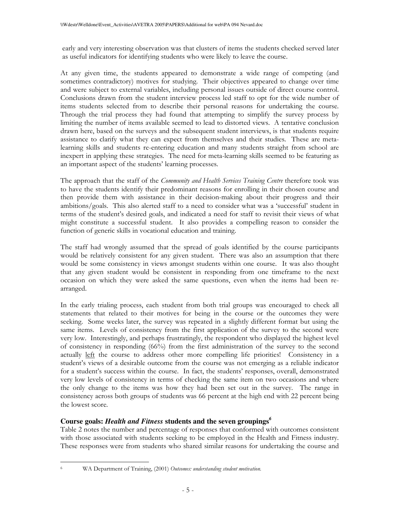early and very interesting observation was that clusters of items the students checked served later as useful indicators for identifying students who were likely to leave the course.

At any given time, the students appeared to demonstrate a wide range of competing (and sometimes contradictory) motives for studying. Their objectives appeared to change over time and were subject to external variables, including personal issues outside of direct course control. Conclusions drawn from the student interview process led staff to opt for the wide number of items students selected from to describe their personal reasons for undertaking the course. Through the trial process they had found that attempting to simplify the survey process by limiting the number of items available seemed to lead to distorted views. A tentative conclusion drawn here, based on the surveys and the subsequent student interviews, is that students require assistance to clarify what they can expect from themselves and their studies. These are metalearning skills and students re-entering education and many students straight from school are inexpert in applying these strategies. The need for meta-learning skills seemed to be featuring as an important aspect of the students' learning processes.

The approach that the staff of the *Community and Health Services Training Centre* therefore took was to have the students identify their predominant reasons for enrolling in their chosen course and then provide them with assistance in their decision-making about their progress and their ambitions/goals. This also alerted staff to a need to consider what was a 'successful' student in terms of the student's desired goals, and indicated a need for staff to revisit their views of what might constitute a successful student. It also provides a compelling reason to consider the function of generic skills in vocational education and training.

The staff had wrongly assumed that the spread of goals identified by the course participants would be relatively consistent for any given student. There was also an assumption that there would be some consistency in views amongst students within one course. It was also thought that any given student would be consistent in responding from one timeframe to the next occasion on which they were asked the same questions, even when the items had been rearranged.

In the early trialing process, each student from both trial groups was encouraged to check all statements that related to their motives for being in the course or the outcomes they were seeking. Some weeks later, the survey was repeated in a slightly different format but using the same items. Levels of consistency from the first application of the survey to the second were very low. Interestingly, and perhaps frustratingly, the respondent who displayed the highest level of consistency in responding (66%) from the first administration of the survey to the second actually left the course to address other more compelling life priorities! Consistency in a student's views of a desirable outcome from the course was not emerging as a reliable indicator for a student's success within the course. In fact, the students' responses, overall, demonstrated very low levels of consistency in terms of checking the same item on two occasions and where the only change to the items was how they had been set out in the survey. The range in consistency across both groups of students was 66 percent at the high end with 22 percent being the lowest score.

## Course goals: *Health and Fitness* students and the seven groupings<sup>6</sup>

Table 2 notes the number and percentage of responses that conformed with outcomes consistent with those associated with students seeking to be employed in the Health and Fitness industry. These responses were from students who shared similar reasons for undertaking the course and

WA Department of Training, (2001) Outcomes: understanding student motivation.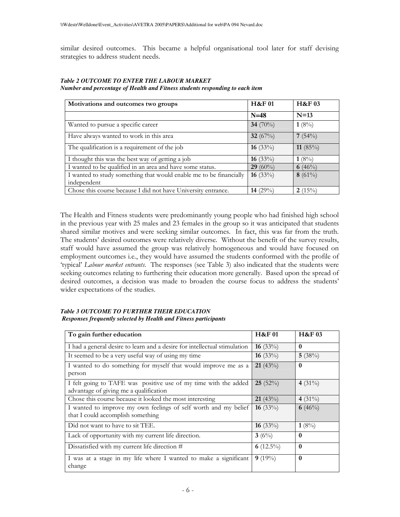similar desired outcomes. This became a helpful organisational tool later for staff devising strategies to address student needs.

## Table 2 OUTCOME TO ENTER THE LABOUR MARKET

Number and percentage of Health and Fitness students responding to each item

| Motivations and outcomes two groups                                | <b>H&amp;F</b> 01 | H&F 03      |
|--------------------------------------------------------------------|-------------------|-------------|
|                                                                    | $N=48$            | $N=13$      |
| Wanted to pursue a specific career                                 | 34 $(70\%)$       | 1(8%)       |
| Have always wanted to work in this area                            | 32 $(67%)$        | 7(54%)      |
| The qualification is a requirement of the job                      | 16 $(33\%)$       | 11 $(85\%)$ |
| I thought this was the best way of getting a job                   | 16 $(33\%)$       | $1(8\%)$    |
| I wanted to be qualified in an area and have some status.          | 29 (60%)          | 6 $(46\%)$  |
| I wanted to study something that would enable me to be financially | 16 $(33\%)$       | 8 (61%)     |
| independent                                                        |                   |             |
| Chose this course because I did not have University entrance.      | 14 $(29%)$        | 2(15%)      |

The Health and Fitness students were predominantly young people who had finished high school in the previous year with 25 males and 23 females in the group so it was anticipated that students shared similar motives and were seeking similar outcomes. In fact, this was far from the truth. The students' desired outcomes were relatively diverse. Without the benefit of the survey results, staff would have assumed the group was relatively homogeneous and would have focused on employment outcomes i.e., they would have assumed the students conformed with the profile of 'typical' *Labour market entrants*. The responses (see Table 3) also indicated that the students were seeking outcomes relating to furthering their education more generally. Based upon the spread of desired outcomes, a decision was made to broaden the course focus to address the students' wider expectations of the studies.

### Table 3 OUTCOME TO FURTHER THEIR EDUCATION Responses frequently selected by Health and Fitness participants

| To gain further education                                                                                 | <b>H&amp;F</b> 01 | H&F 03       |
|-----------------------------------------------------------------------------------------------------------|-------------------|--------------|
| I had a general desire to learn and a desire for intellectual stimulation                                 | 16 $(33\%)$       | $\mathbf{0}$ |
| It seemed to be a very useful way of using my time                                                        | 16 $(33\%)$       | 5(38%)       |
| I wanted to do something for myself that would improve me as a<br>person                                  | 21 $(43%)$        | $\bf{0}$     |
| I felt going to TAFE was positive use of my time with the added<br>advantage of giving me a qualification | 25(52%)           | 4 $(31\%)$   |
| Chose this course because it looked the most interesting                                                  | 21 $(43%)$        | 4 $(31\%)$   |
| I wanted to improve my own feelings of self worth and my belief<br>that I could accomplish something      | 16 $(33\%)$       | 6 $(46\%)$   |
| Did not want to have to sit TEE.                                                                          | 16 $(33\%)$       | 1(8%)        |
| Lack of opportunity with my current life direction.                                                       | 3 ( $6\%$ )       | $\bf{0}$     |
| Dissatisfied with my current life direction #                                                             | 6 $(12.5\%)$      | $\bf{0}$     |
| I was at a stage in my life where I wanted to make a significant<br>change                                | $9(19\%)$         | $\bf{0}$     |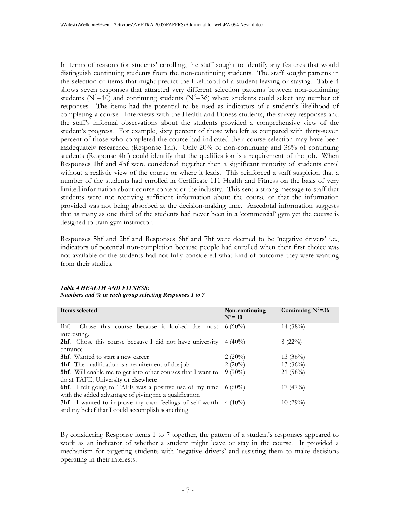In terms of reasons for students' enrolling, the staff sought to identify any features that would distinguish continuing students from the non-continuing students. The staff sought patterns in the selection of items that might predict the likelihood of a student leaving or staying. Table 4 shows seven responses that attracted very different selection patterns between non-continuing students ( $N^{1}=10$ ) and continuing students ( $N^{2}=36$ ) where students could select any number of responses. The items had the potential to be used as indicators of a student's likelihood of completing a course. Interviews with the Health and Fitness students, the survey responses and the staff's informal observations about the students provided a comprehensive view of the student's progress. For example, sixty percent of those who left as compared with thirty-seven percent of those who completed the course had indicated their course selection may have been inadequately researched (Response 1hf). Only 20% of non-continuing and 36% of continuing students (Response 4hf) could identify that the qualification is a requirement of the job. When Responses 1hf and 4hf were considered together then a significant minority of students enrol without a realistic view of the course or where it leads. This reinforced a staff suspicion that a number of the students had enrolled in Certificate 111 Health and Fitness on the basis of very limited information about course content or the industry. This sent a strong message to staff that students were not receiving sufficient information about the course or that the information provided was not being absorbed at the decision-making time. Anecdotal information suggests that as many as one third of the students had never been in a 'commercial' gym yet the course is designed to train gym instructor.

Responses 5hf and 2hf and Responses 6hf and 7hf were deemed to be 'negative drivers' i.e., indicators of potential non-completion because people had enrolled when their first choice was not available or the students had not fully considered what kind of outcome they were wanting from their studies.

| <b>Items selected</b>                                               | Non-continuing<br>$N^{1=10}$ | Continuing $N^2=36$ |
|---------------------------------------------------------------------|------------------------------|---------------------|
| Chose this course because it looked the most<br>1 <sub>hf.</sub>    | $6(60\%)$                    | 14 $(38%)$          |
| interesting.                                                        |                              |                     |
| 2hf. Chose this course because I did not have university            | $4(40\%)$                    | 8(22%)              |
| entrance                                                            |                              |                     |
| <b>3hf.</b> Wanted to start a new career                            | $2(20\%)$                    | $13(36\%)$          |
| 4hf. The qualification is a requirement of the job                  | $2(20\%)$                    | 13 $(36\%)$         |
| <b>5hf.</b> Will enable me to get into other courses that I want to | $9(90\%)$                    | 21 $(58%)$          |
| do at TAFE, University or elsewhere                                 |                              |                     |
| <b>6hf.</b> I felt going to TAFE was a positive use of my time      | $6(60\%)$                    | 17(47%)             |
| with the added advantage of giving me a qualification               |                              |                     |
| <b>7hf.</b> I wanted to improve my own feelings of self worth       | $4(40\%)$                    | $10(29\%)$          |
| and my belief that I could accomplish something                     |                              |                     |

### **Table 4 HEALTH AND FITNESS:**

### Numbers and % in each group selecting Responses 1 to 7

By considering Response items 1 to 7 together, the pattern of a student's responses appeared to work as an indicator of whether a student might leave or stay in the course. It provided a mechanism for targeting students with 'negative drivers' and assisting them to make decisions operating in their interests.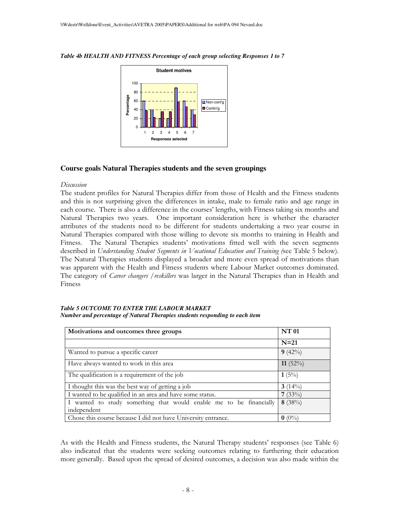

Table 4b HEALTH AND FITNESS Percentage of each group selecting Responses 1 to 7

### Course goals Natural Therapies students and the seven groupings

### Discussion

The student profiles for Natural Therapies differ from those of Health and the Fitness students and this is not surprising given the differences in intake, male to female ratio and age range in each course. There is also a difference in the courses' lengths, with Fitness taking six months and Natural Therapies two years. One important consideration here is whether the character attributes of the students need to be different for students undertaking a two year course in Natural Therapies compared with those willing to devote six months to training in Health and Fitness. The Natural Therapies students' motivations fitted well with the seven segments described in Understanding Student Segments in Vocational Education and Training (see Table 5 below). The Natural Therapies students displayed a broader and more even spread of motivations than was apparent with the Health and Fitness students where Labour Market outcomes dominated. The category of *Career changers / reskillers* was larger in the Natural Therapies than in Health and Fitness

| Motivations and outcomes three groups                                             | <b>NT01</b>       |
|-----------------------------------------------------------------------------------|-------------------|
|                                                                                   | $N=21$            |
| Wanted to pursue a specific career                                                | 9(42%)            |
| Have always wanted to work in this area                                           | 11 $(52\%)$       |
| The qualification is a requirement of the job                                     | 1(5%)             |
| I thought this was the best way of getting a job                                  | 3 $(14\%)$        |
| I wanted to be qualified in an area and have some status.                         | 7(33%)            |
| I wanted to study something that would enable me to be financially<br>independent | 8 (38%)           |
| Chose this course because I did not have University entrance.                     | $\mathbf{0}$ (0%) |

| <b>Table 5 OUTCOME TO ENTER THE LABOUR MARKET</b>                           |
|-----------------------------------------------------------------------------|
| Number and percentage of Natural Therapies students responding to each item |

As with the Health and Fitness students, the Natural Therapy students' responses (see Table 6) also indicated that the students were seeking outcomes relating to furthering their education more generally. Based upon the spread of desired outcomes, a decision was also made within the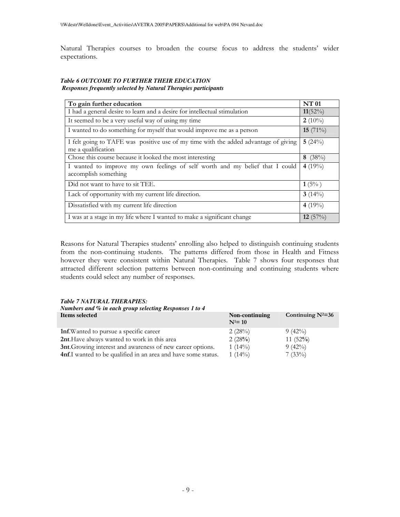Natural Therapies courses to broaden the course focus to address the students' wider expectations.

## Table 6 OUTCOME TO FURTHER THEIR EDUCATION

### Responses frequently selected by Natural Therapies participants

| To gain further education                                                           | <b>NT01</b> |
|-------------------------------------------------------------------------------------|-------------|
| I had a general desire to learn and a desire for intellectual stimulation           | $11(52\%)$  |
| It seemed to be a very useful way of using my time                                  | $2(10\%)$   |
| I wanted to do something for myself that would improve me as a person               |             |
| I felt going to TAFE was positive use of my time with the added advantage of giving | 5 $(24%)$   |
| me a qualification                                                                  |             |
| Chose this course because it looked the most interesting                            |             |
| I wanted to improve my own feelings of self worth and my belief that I could        |             |
| accomplish something                                                                |             |
| Did not want to have to sit TEE.                                                    | $1(5\%)$    |
| Lack of opportunity with my current life direction.                                 | 3 $(14\%)$  |
| Dissatisfied with my current life direction                                         | 4 $(19\%)$  |
| I was at a stage in my life where I wanted to make a significant change             | 12 $(57\%)$ |

Reasons for Natural Therapies students' enrolling also helped to distinguish continuing students from the non-continuing students. The patterns differed from those in Health and Fitness however they were consistent within Natural Therapies. Table 7 shows four responses that attracted different selection patterns between non-continuing and continuing students where students could select any number of responses.

**Table 7 NATURAL THERAPIES:** 

## Numbers and % in each group selecting Responses 1 to 4

| Items selected                                                        | Non-continuing | Continuing $N^2=36$ |
|-----------------------------------------------------------------------|----------------|---------------------|
|                                                                       | $N^{1} = 10$   |                     |
| <b>1nf.</b> Wanted to pursue a specific career                        | 2(28%)         | $9(42\%)$           |
| <b>2nt</b> . Have always wanted to work in this area                  | 2(28%)         | 11 $(52\%)$         |
| 3nt. Growing interest and awareness of new career options.            | $1(14\%)$      | $9(42\%)$           |
| <b>4nf.</b> I wanted to be qualified in an area and have some status. | $1(14\%)$      | 7(33%)              |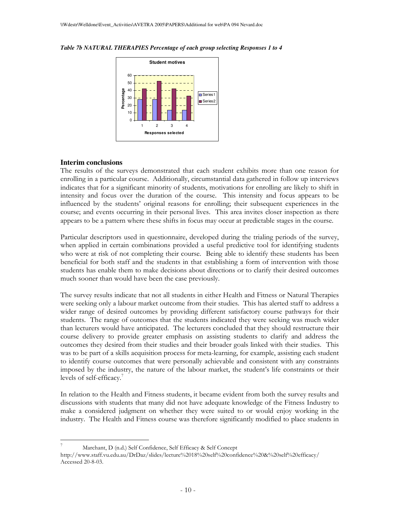

Table 7b NATURAL THERAPIES Percentage of each group selecting Responses 1 to 4

## **Interim conclusions**

The results of the surveys demonstrated that each student exhibits more than one reason for enrolling in a particular course. Additionally, circumstantial data gathered in follow up interviews indicates that for a significant minority of students, motivations for enrolling are likely to shift in intensity and focus over the duration of the course. This intensity and focus appears to be influenced by the students' original reasons for enrolling; their subsequent experiences in the course; and events occurring in their personal lives. This area invites closer inspection as there appears to be a pattern where these shifts in focus may occur at predictable stages in the course.

Particular descriptors used in questionnaire, developed during the trialing periods of the survey, when applied in certain combinations provided a useful predictive tool for identifying students who were at risk of not completing their course. Being able to identify these students has been beneficial for both staff and the students in that establishing a form of intervention with those students has enable them to make decisions about directions or to clarify their desired outcomes much sooner than would have been the case previously.

The survey results indicate that not all students in either Health and Fitness or Natural Therapies were seeking only a labour market outcome from their studies. This has alerted staff to address a wider range of desired outcomes by providing different satisfactory course pathways for their students. The range of outcomes that the students indicated they were seeking was much wider than lecturers would have anticipated. The lecturers concluded that they should restructure their course delivery to provide greater emphasis on assisting students to clarify and address the outcomes they desired from their studies and their broader goals linked with their studies. This was to be part of a skills acquisition process for meta-learning, for example, assisting each student to identify course outcomes that were personally achievable and consistent with any constraints imposed by the industry, the nature of the labour market, the student's life constraints or their levels of self-efficacy.<sup>7</sup>

In relation to the Health and Fitness students, it became evident from both the survey results and discussions with students that many did not have adequate knowledge of the Fitness Industry to make a considered judgment on whether they were suited to or would enjoy working in the industry. The Health and Fitness course was therefore significantly modified to place students in

Marchant, D (n.d.) Self Confidence, Self Efficacy & Self Concept http://www.staff.vu.edu.au/DrDaz/slides/lecture%2018%20self%20confidence%20&%20self%20efficacy/ Accessed 20-8-03.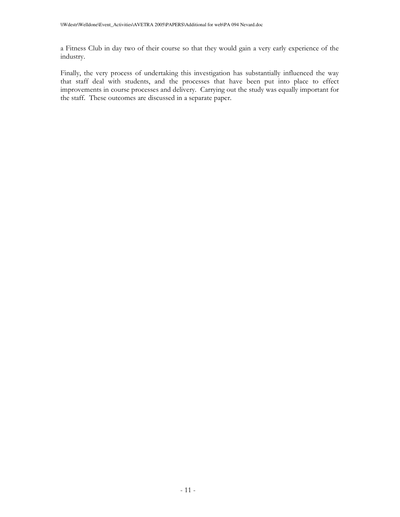a Fitness Club in day two of their course so that they would gain a very early experience of the industry.

Finally, the very process of undertaking this investigation has substantially influenced the way that staff deal with students, and the processes that have been put into place to effect improvements in course processes and delivery. Carrying out the study was equally important for the staff. These outcomes are discussed in a separate paper.